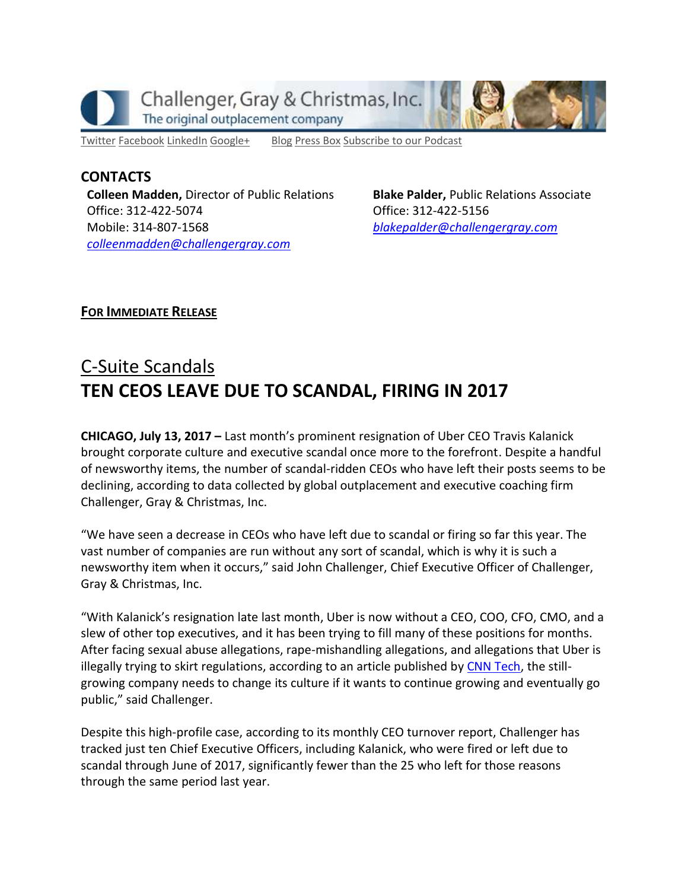

[Twitter](https://twitter.com/#!/ChallengerGray) [Facebook](https://www.facebook.com/ChallengerGray) [LinkedIn](http://www.linkedin.com/company/28264?trk=tyah) [Google+](https://plus.google.com/b/114363499979264115698/114363499979264115698) [Blog](http://www.challengergray.com/press/blog) [Press](http://www.challengergray.com/press/press-releases) Box [Subscribe](https://itunes.apple.com/us/podcast/challenger-podcast-hr-passport/id1155541697?mt=2) to our Podcast

**CONTACTS Colleen Madden,** Director of Public Relations Office: 312-422-5074 Mobile: 314-807-1568 *[colleenmadden@challengergray.com](mailto:colleenmadden@challengergray.com)* 

**Blake Palder,** Public Relations Associate Office: 312-422-5156 *[blakepalder@challengergray.com](mailto:blakepalder@challengergray.com)*

## **FOR IMMEDIATE RELEASE**

## C-Suite Scandals **TEN CEOS LEAVE DUE TO SCANDAL, FIRING IN 2017**

**CHICAGO, July 13, 2017 –** Last month's prominent resignation of Uber CEO Travis Kalanick brought corporate culture and executive scandal once more to the forefront. Despite a handful of newsworthy items, the number of scandal-ridden CEOs who have left their posts seems to be declining, according to data collected by global outplacement and executive coaching firm Challenger, Gray & Christmas, Inc.

"We have seen a decrease in CEOs who have left due to scandal or firing so far this year. The vast number of companies are run without any sort of scandal, which is why it is such a newsworthy item when it occurs," said John Challenger, Chief Executive Officer of Challenger, Gray & Christmas, Inc.

"With Kalanick's resignation late last month, Uber is now without a CEO, COO, CFO, CMO, and a slew of other top executives, and it has been trying to fill many of these positions for months. After facing sexual abuse allegations, rape-mishandling allegations, and allegations that Uber is illegally trying to skirt regulations, according to an article published b[y CNN Tech,](http://money.cnn.com/2017/06/21/technology/business/uber-ceo-whats-next/index.html) the stillgrowing company needs to change its culture if it wants to continue growing and eventually go public," said Challenger.

Despite this high-profile case, according to its monthly CEO turnover report, Challenger has tracked just ten Chief Executive Officers, including Kalanick, who were fired or left due to scandal through June of 2017, significantly fewer than the 25 who left for those reasons through the same period last year.